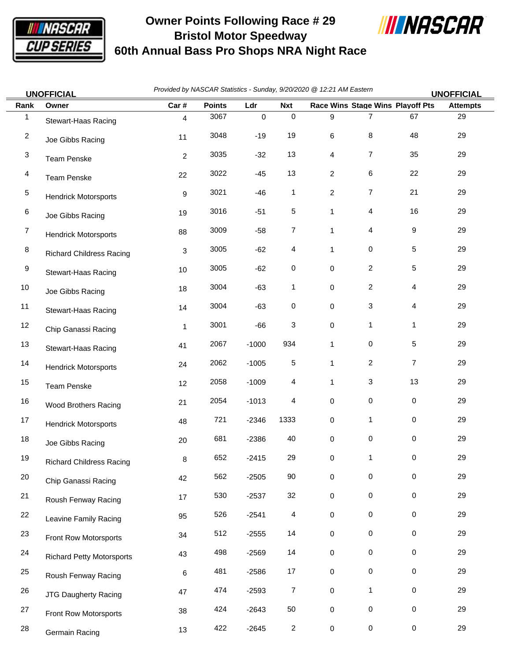

## **Owner Points Following Race # 29 Bristol Motor Speedway 60th Annual Bass Pro Shops NRA Night Race**



|                | <b>UNOFFICIAL</b>                | Provided by NASCAR Statistics - Sunday, 9/20/2020 @ 12:21 AM Eastern<br><b>UNOFFICIAL</b> |               |           |                |                |                |                                  |                 |  |
|----------------|----------------------------------|-------------------------------------------------------------------------------------------|---------------|-----------|----------------|----------------|----------------|----------------------------------|-----------------|--|
| Rank           | Owner                            | Car#                                                                                      | <b>Points</b> | Ldr       | <b>Nxt</b>     |                |                | Race Wins Stage Wins Playoff Pts | <b>Attempts</b> |  |
| 1              | Stewart-Haas Racing              | 4                                                                                         | 3067          | $\pmb{0}$ | $\mathsf 0$    | 9              | $\overline{7}$ | 67                               | 29              |  |
| $\overline{2}$ | Joe Gibbs Racing                 | 11                                                                                        | 3048          | $-19$     | 19             | 6              | 8              | 48                               | 29              |  |
| $\mathbf{3}$   | <b>Team Penske</b>               | $\overline{c}$                                                                            | 3035          | $-32$     | 13             | 4              | 7              | 35                               | 29              |  |
| $\overline{4}$ | Team Penske                      | 22                                                                                        | 3022          | $-45$     | 13             | $\overline{c}$ | 6              | 22                               | 29              |  |
| $\,$ 5 $\,$    | <b>Hendrick Motorsports</b>      | 9                                                                                         | 3021          | $-46$     | $\mathbf{1}$   | $\mathbf{2}$   | 7              | 21                               | 29              |  |
| 6              | Joe Gibbs Racing                 | 19                                                                                        | 3016          | $-51$     | $\,$ 5 $\,$    | 1              | 4              | 16                               | 29              |  |
| $\overline{7}$ | <b>Hendrick Motorsports</b>      | 88                                                                                        | 3009          | $-58$     | $\overline{7}$ | 1              | 4              | 9                                | 29              |  |
| 8              | <b>Richard Childress Racing</b>  | 3                                                                                         | 3005          | $-62$     | $\overline{4}$ | 1              | 0              | 5                                | 29              |  |
| 9              | Stewart-Haas Racing              | 10                                                                                        | 3005          | $-62$     | 0              | 0              | $\overline{c}$ | 5                                | 29              |  |
| 10             | Joe Gibbs Racing                 | 18                                                                                        | 3004          | $-63$     | 1              | 0              | $\overline{c}$ | 4                                | 29              |  |
| 11             | Stewart-Haas Racing              | 14                                                                                        | 3004          | $-63$     | $\pmb{0}$      | 0              | 3              | 4                                | 29              |  |
| 12             | Chip Ganassi Racing              | 1                                                                                         | 3001          | $-66$     | 3              | 0              | 1              | 1                                | 29              |  |
| 13             | Stewart-Haas Racing              | 41                                                                                        | 2067          | $-1000$   | 934            | $\mathbf{1}$   | 0              | 5                                | 29              |  |
| 14             | <b>Hendrick Motorsports</b>      | 24                                                                                        | 2062          | $-1005$   | $\,$ 5 $\,$    | $\mathbf{1}$   | $\overline{c}$ | $\overline{7}$                   | 29              |  |
| 15             | Team Penske                      | 12                                                                                        | 2058          | $-1009$   | 4              | 1              | 3              | 13                               | 29              |  |
| 16             | Wood Brothers Racing             | 21                                                                                        | 2054          | $-1013$   | 4              | 0              | 0              | 0                                | 29              |  |
| 17             | <b>Hendrick Motorsports</b>      | 48                                                                                        | 721           | $-2346$   | 1333           | 0              | 1              | $\mathbf 0$                      | 29              |  |
| 18             | Joe Gibbs Racing                 | 20                                                                                        | 681           | $-2386$   | 40             | 0              | 0              | 0                                | 29              |  |
| 19             | <b>Richard Childress Racing</b>  | $\bf 8$                                                                                   | 652           | $-2415$   | 29             | 0              | 1              | 0                                | 29              |  |
| 20             | Chip Ganassi Racing              | 42                                                                                        | 562           | $-2505$   | 90             | 0              | 0              | 0                                | 29              |  |
| 21             | Roush Fenway Racing              | 17                                                                                        | 530           | $-2537$   | 32             | 0              | 0              | 0                                | 29              |  |
| 22             | Leavine Family Racing            | 95                                                                                        | 526           | $-2541$   | $\overline{4}$ | 0              | 0              | 0                                | 29              |  |
| 23             | Front Row Motorsports            | 34                                                                                        | 512           | $-2555$   | 14             | 0              | 0              | 0                                | 29              |  |
| 24             | <b>Richard Petty Motorsports</b> | 43                                                                                        | 498           | $-2569$   | 14             | 0              | 0              | 0                                | 29              |  |
| 25             | Roush Fenway Racing              | 6                                                                                         | 481           | $-2586$   | 17             | 0              | 0              | 0                                | 29              |  |
| 26             | JTG Daugherty Racing             | 47                                                                                        | 474           | $-2593$   | $\overline{7}$ | 0              | $\mathbf{1}$   | 0                                | 29              |  |
| 27             | Front Row Motorsports            | 38                                                                                        | 424           | $-2643$   | 50             | 0              | 0              | 0                                | 29              |  |
| 28             | Germain Racing                   | 13                                                                                        | 422           | $-2645$   | $\overline{c}$ | 0              | 0              | 0                                | 29              |  |